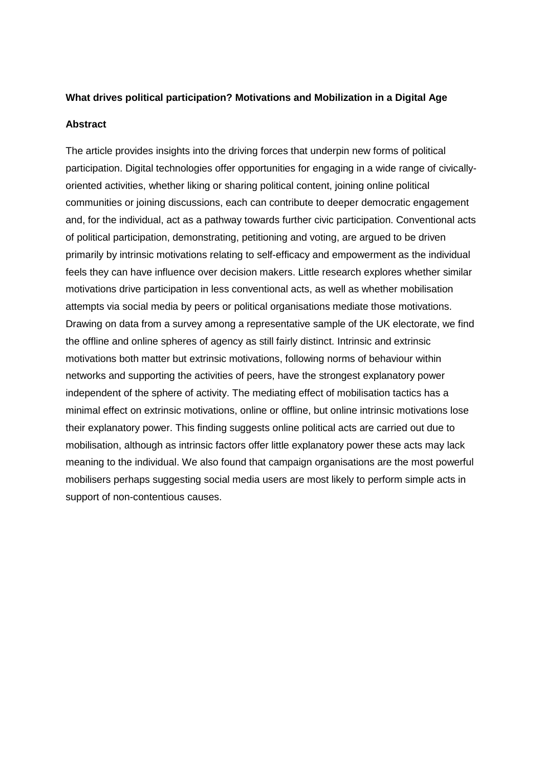## **What drives political participation? Motivations and Mobilization in a Digital Age**

## **Abstract**

The article provides insights into the driving forces that underpin new forms of political participation. Digital technologies offer opportunities for engaging in a wide range of civicallyoriented activities, whether liking or sharing political content, joining online political communities or joining discussions, each can contribute to deeper democratic engagement and, for the individual, act as a pathway towards further civic participation. Conventional acts of political participation, demonstrating, petitioning and voting, are argued to be driven primarily by intrinsic motivations relating to self-efficacy and empowerment as the individual feels they can have influence over decision makers. Little research explores whether similar motivations drive participation in less conventional acts, as well as whether mobilisation attempts via social media by peers or political organisations mediate those motivations. Drawing on data from a survey among a representative sample of the UK electorate, we find the offline and online spheres of agency as still fairly distinct. Intrinsic and extrinsic motivations both matter but extrinsic motivations, following norms of behaviour within networks and supporting the activities of peers, have the strongest explanatory power independent of the sphere of activity. The mediating effect of mobilisation tactics has a minimal effect on extrinsic motivations, online or offline, but online intrinsic motivations lose their explanatory power. This finding suggests online political acts are carried out due to mobilisation, although as intrinsic factors offer little explanatory power these acts may lack meaning to the individual. We also found that campaign organisations are the most powerful mobilisers perhaps suggesting social media users are most likely to perform simple acts in support of non-contentious causes.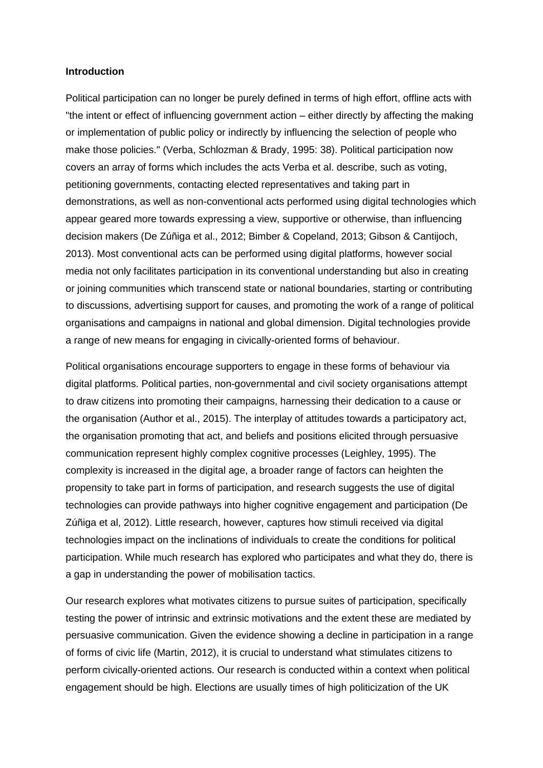#### **Introduction**

Political participation can no longer be purely defined in terms of high effort, offline acts with "the intent or effect of influencing government action – either directly by affecting the making or implementation of public policy or indirectly by influencing the selection of people who make those policies." (Verba, Schlozman & Brady, 1995: 38). Political participation now covers an array of forms which includes the acts Verba et al. describe, such as voting, petitioning governments, contacting elected representatives and taking part in demonstrations, as well as non-conventional acts performed using digital technologies which appear geared more towards expressing a view, supportive or otherwise, than influencing decision makers (De Zúñiga et al., 2012; Bimber & Copeland, 2013; Gibson & Cantijoch, 2013). Most conventional acts can be performed using digital platforms, however social media not only facilitates participation in its conventional understanding but also in creating or joining communities which transcend state or national boundaries, starting or contributing to discussions, advertising support for causes, and promoting the work of a range of political organisations and campaigns in national and global dimension. Digital technologies provide a range of new means for engaging in civically-oriented forms of behaviour.

Political organisations encourage supporters to engage in these forms of behaviour via digital platforms. Political parties, non-governmental and civil society organisations attempt to draw citizens into promoting their campaigns, harnessing their dedication to a cause or the organisation (Author et al., 2015). The interplay of attitudes towards a participatory act, the organisation promoting that act, and beliefs and positions elicited through persuasive communication represent highly complex cognitive processes (Leighley, 1995). The complexity is increased in the digital age, a broader range of factors can heighten the propensity to take part in forms of participation, and research suggests the use of digital technologies can provide pathways into higher cognitive engagement and participation (De Zúñiga et al, 2012). Little research, however, captures how stimuli received via digital technologies impact on the inclinations of individuals to create the conditions for political participation. While much research has explored who participates and what they do, there is a gap in understanding the power of mobilisation tactics.

Our research explores what motivates citizens to pursue suites of participation, specifically testing the power of intrinsic and extrinsic motivations and the extent these are mediated by persuasive communication. Given the evidence showing a decline in participation in a range of forms of civic life (Martin, 2012), it is crucial to understand what stimulates citizens to perform civically-oriented actions. Our research is conducted within a context when political engagement should be high. Elections are usually times of high politicization of the UK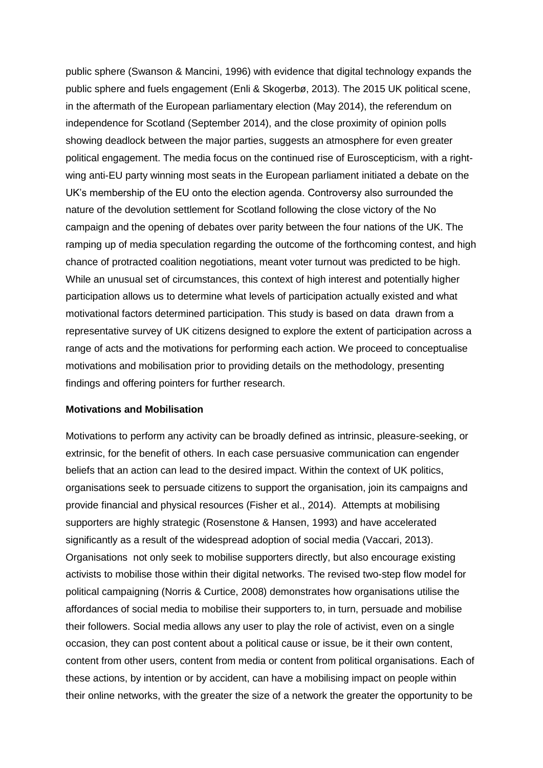public sphere (Swanson & Mancini, 1996) with evidence that digital technology expands the public sphere and fuels engagement (Enli & Skogerbø, 2013). The 2015 UK political scene, in the aftermath of the European parliamentary election (May 2014), the referendum on independence for Scotland (September 2014), and the close proximity of opinion polls showing deadlock between the major parties, suggests an atmosphere for even greater political engagement. The media focus on the continued rise of Euroscepticism, with a rightwing anti-EU party winning most seats in the European parliament initiated a debate on the UK's membership of the EU onto the election agenda. Controversy also surrounded the nature of the devolution settlement for Scotland following the close victory of the No campaign and the opening of debates over parity between the four nations of the UK. The ramping up of media speculation regarding the outcome of the forthcoming contest, and high chance of protracted coalition negotiations, meant voter turnout was predicted to be high. While an unusual set of circumstances, this context of high interest and potentially higher participation allows us to determine what levels of participation actually existed and what motivational factors determined participation. This study is based on data drawn from a representative survey of UK citizens designed to explore the extent of participation across a range of acts and the motivations for performing each action. We proceed to conceptualise motivations and mobilisation prior to providing details on the methodology, presenting findings and offering pointers for further research.

#### **Motivations and Mobilisation**

Motivations to perform any activity can be broadly defined as intrinsic, pleasure-seeking, or extrinsic, for the benefit of others. In each case persuasive communication can engender beliefs that an action can lead to the desired impact. Within the context of UK politics, organisations seek to persuade citizens to support the organisation, join its campaigns and provide financial and physical resources (Fisher et al., 2014). Attempts at mobilising supporters are highly strategic (Rosenstone & Hansen, 1993) and have accelerated significantly as a result of the widespread adoption of social media (Vaccari, 2013). Organisations not only seek to mobilise supporters directly, but also encourage existing activists to mobilise those within their digital networks. The revised two-step flow model for political campaigning (Norris & Curtice, 2008) demonstrates how organisations utilise the affordances of social media to mobilise their supporters to, in turn, persuade and mobilise their followers. Social media allows any user to play the role of activist, even on a single occasion, they can post content about a political cause or issue, be it their own content, content from other users, content from media or content from political organisations. Each of these actions, by intention or by accident, can have a mobilising impact on people within their online networks, with the greater the size of a network the greater the opportunity to be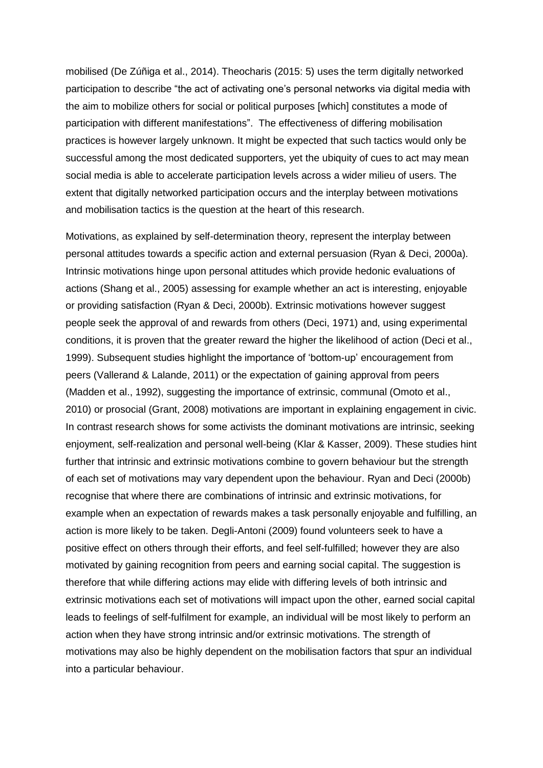mobilised (De Zúñiga et al., 2014). Theocharis (2015: 5) uses the term digitally networked participation to describe "the act of activating one's personal networks via digital media with the aim to mobilize others for social or political purposes [which] constitutes a mode of participation with different manifestations". The effectiveness of differing mobilisation practices is however largely unknown. It might be expected that such tactics would only be successful among the most dedicated supporters, yet the ubiquity of cues to act may mean social media is able to accelerate participation levels across a wider milieu of users. The extent that digitally networked participation occurs and the interplay between motivations and mobilisation tactics is the question at the heart of this research.

Motivations, as explained by self-determination theory, represent the interplay between personal attitudes towards a specific action and external persuasion (Ryan & Deci, 2000a). Intrinsic motivations hinge upon personal attitudes which provide hedonic evaluations of actions (Shang et al., 2005) assessing for example whether an act is interesting, enjoyable or providing satisfaction (Ryan & Deci, 2000b). Extrinsic motivations however suggest people seek the approval of and rewards from others (Deci, 1971) and, using experimental conditions, it is proven that the greater reward the higher the likelihood of action (Deci et al., 1999). Subsequent studies highlight the importance of 'bottom-up' encouragement from peers (Vallerand & Lalande, 2011) or the expectation of gaining approval from peers (Madden et al., 1992), suggesting the importance of extrinsic, communal (Omoto et al., 2010) or prosocial (Grant, 2008) motivations are important in explaining engagement in civic. In contrast research shows for some activists the dominant motivations are intrinsic, seeking enjoyment, self-realization and personal well-being (Klar & Kasser, 2009). These studies hint further that intrinsic and extrinsic motivations combine to govern behaviour but the strength of each set of motivations may vary dependent upon the behaviour. Ryan and Deci (2000b) recognise that where there are combinations of intrinsic and extrinsic motivations, for example when an expectation of rewards makes a task personally enjoyable and fulfilling, an action is more likely to be taken. Degli-Antoni (2009) found volunteers seek to have a positive effect on others through their efforts, and feel self-fulfilled; however they are also motivated by gaining recognition from peers and earning social capital. The suggestion is therefore that while differing actions may elide with differing levels of both intrinsic and extrinsic motivations each set of motivations will impact upon the other, earned social capital leads to feelings of self-fulfilment for example, an individual will be most likely to perform an action when they have strong intrinsic and/or extrinsic motivations. The strength of motivations may also be highly dependent on the mobilisation factors that spur an individual into a particular behaviour.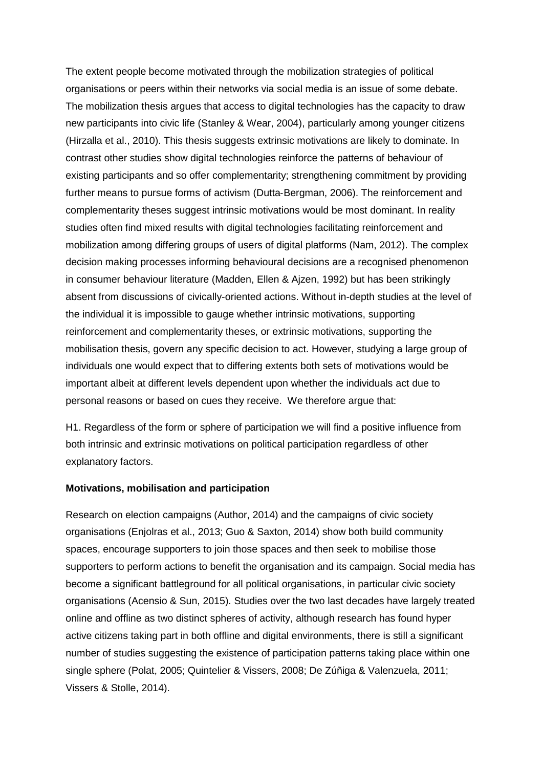The extent people become motivated through the mobilization strategies of political organisations or peers within their networks via social media is an issue of some debate. The mobilization thesis argues that access to digital technologies has the capacity to draw new participants into civic life (Stanley & Wear, 2004), particularly among younger citizens (Hirzalla et al., 2010). This thesis suggests extrinsic motivations are likely to dominate. In contrast other studies show digital technologies reinforce the patterns of behaviour of existing participants and so offer complementarity; strengthening commitment by providing further means to pursue forms of activism (Dutta‐Bergman, 2006). The reinforcement and complementarity theses suggest intrinsic motivations would be most dominant. In reality studies often find mixed results with digital technologies facilitating reinforcement and mobilization among differing groups of users of digital platforms (Nam, 2012). The complex decision making processes informing behavioural decisions are a recognised phenomenon in consumer behaviour literature (Madden, Ellen & Ajzen, 1992) but has been strikingly absent from discussions of civically-oriented actions. Without in-depth studies at the level of the individual it is impossible to gauge whether intrinsic motivations, supporting reinforcement and complementarity theses, or extrinsic motivations, supporting the mobilisation thesis, govern any specific decision to act. However, studying a large group of individuals one would expect that to differing extents both sets of motivations would be important albeit at different levels dependent upon whether the individuals act due to personal reasons or based on cues they receive. We therefore argue that:

H1. Regardless of the form or sphere of participation we will find a positive influence from both intrinsic and extrinsic motivations on political participation regardless of other explanatory factors.

### **Motivations, mobilisation and participation**

Research on election campaigns (Author, 2014) and the campaigns of civic society organisations (Enjolras et al., 2013; Guo & Saxton, 2014) show both build community spaces, encourage supporters to join those spaces and then seek to mobilise those supporters to perform actions to benefit the organisation and its campaign. Social media has become a significant battleground for all political organisations, in particular civic society organisations (Acensio & Sun, 2015). Studies over the two last decades have largely treated online and offline as two distinct spheres of activity, although research has found hyper active citizens taking part in both offline and digital environments, there is still a significant number of studies suggesting the existence of participation patterns taking place within one single sphere (Polat, 2005; Quintelier & Vissers, 2008; De Zúñiga & Valenzuela, 2011; Vissers & Stolle, 2014).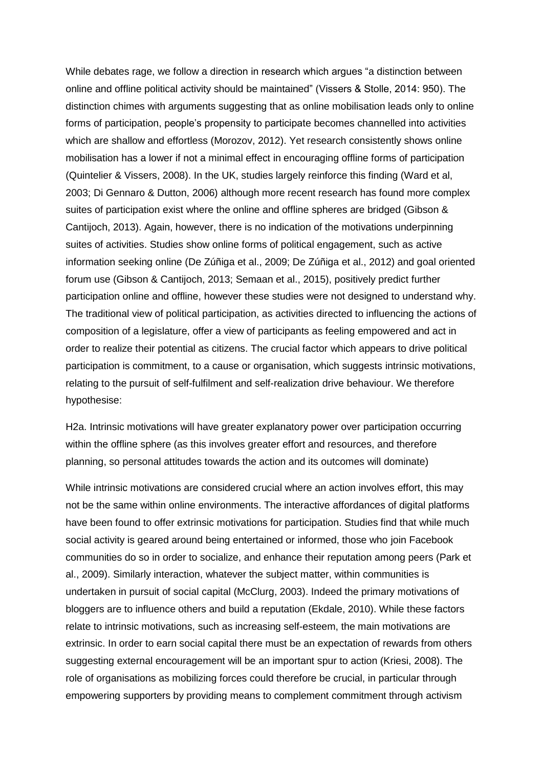While debates rage, we follow a direction in research which argues "a distinction between online and offline political activity should be maintained" (Vissers & Stolle, 2014: 950). The distinction chimes with arguments suggesting that as online mobilisation leads only to online forms of participation, people's propensity to participate becomes channelled into activities which are shallow and effortless (Morozov, 2012). Yet research consistently shows online mobilisation has a lower if not a minimal effect in encouraging offline forms of participation (Quintelier & Vissers, 2008). In the UK, studies largely reinforce this finding (Ward et al, 2003; Di Gennaro & Dutton, 2006) although more recent research has found more complex suites of participation exist where the online and offline spheres are bridged (Gibson & Cantijoch, 2013). Again, however, there is no indication of the motivations underpinning suites of activities. Studies show online forms of political engagement, such as active information seeking online (De Zúñiga et al., 2009; De Zúñiga et al., 2012) and goal oriented forum use (Gibson & Cantijoch, 2013; Semaan et al., 2015), positively predict further participation online and offline, however these studies were not designed to understand why. The traditional view of political participation, as activities directed to influencing the actions of composition of a legislature, offer a view of participants as feeling empowered and act in order to realize their potential as citizens. The crucial factor which appears to drive political participation is commitment, to a cause or organisation, which suggests intrinsic motivations, relating to the pursuit of self-fulfilment and self-realization drive behaviour. We therefore hypothesise:

H2a. Intrinsic motivations will have greater explanatory power over participation occurring within the offline sphere (as this involves greater effort and resources, and therefore planning, so personal attitudes towards the action and its outcomes will dominate)

While intrinsic motivations are considered crucial where an action involves effort, this may not be the same within online environments. The interactive affordances of digital platforms have been found to offer extrinsic motivations for participation. Studies find that while much social activity is geared around being entertained or informed, those who join Facebook communities do so in order to socialize, and enhance their reputation among peers (Park et al., 2009). Similarly interaction, whatever the subject matter, within communities is undertaken in pursuit of social capital (McClurg, 2003). Indeed the primary motivations of bloggers are to influence others and build a reputation (Ekdale, 2010). While these factors relate to intrinsic motivations, such as increasing self-esteem, the main motivations are extrinsic. In order to earn social capital there must be an expectation of rewards from others suggesting external encouragement will be an important spur to action (Kriesi, 2008). The role of organisations as mobilizing forces could therefore be crucial, in particular through empowering supporters by providing means to complement commitment through activism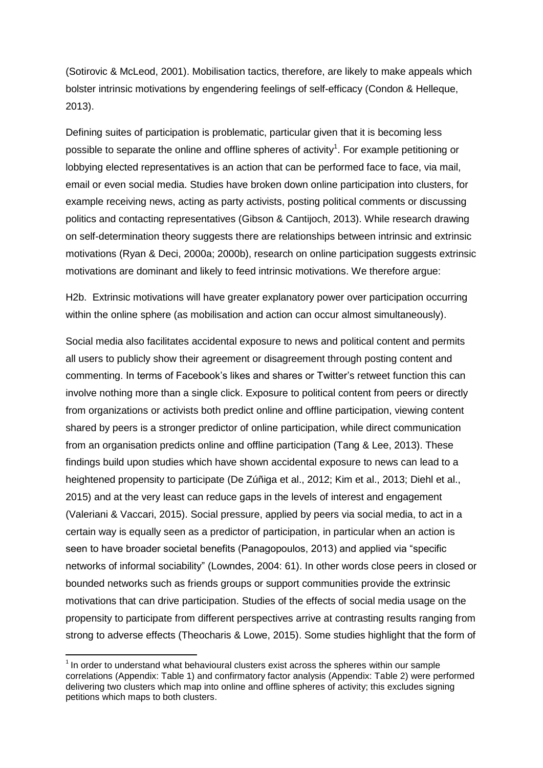(Sotirovic & McLeod, 2001). Mobilisation tactics, therefore, are likely to make appeals which bolster intrinsic motivations by engendering feelings of self-efficacy (Condon & Helleque, 2013).

Defining suites of participation is problematic, particular given that it is becoming less possible to separate the online and offline spheres of activity<sup>1</sup>. For example petitioning or lobbying elected representatives is an action that can be performed face to face, via mail, email or even social media. Studies have broken down online participation into clusters, for example receiving news, acting as party activists, posting political comments or discussing politics and contacting representatives (Gibson & Cantijoch, 2013). While research drawing on self-determination theory suggests there are relationships between intrinsic and extrinsic motivations (Ryan & Deci, 2000a; 2000b), research on online participation suggests extrinsic motivations are dominant and likely to feed intrinsic motivations. We therefore argue:

H2b. Extrinsic motivations will have greater explanatory power over participation occurring within the online sphere (as mobilisation and action can occur almost simultaneously).

Social media also facilitates accidental exposure to news and political content and permits all users to publicly show their agreement or disagreement through posting content and commenting. In terms of Facebook's likes and shares or Twitter's retweet function this can involve nothing more than a single click. Exposure to political content from peers or directly from organizations or activists both predict online and offline participation, viewing content shared by peers is a stronger predictor of online participation, while direct communication from an organisation predicts online and offline participation (Tang & Lee, 2013). These findings build upon studies which have shown accidental exposure to news can lead to a heightened propensity to participate (De Zúñiga et al., 2012; Kim et al., 2013; Diehl et al., 2015) and at the very least can reduce gaps in the levels of interest and engagement (Valeriani & Vaccari, 2015). Social pressure, applied by peers via social media, to act in a certain way is equally seen as a predictor of participation, in particular when an action is seen to have broader societal benefits (Panagopoulos, 2013) and applied via "specific networks of informal sociability" (Lowndes, 2004: 61). In other words close peers in closed or bounded networks such as friends groups or support communities provide the extrinsic motivations that can drive participation. Studies of the effects of social media usage on the propensity to participate from different perspectives arrive at contrasting results ranging from strong to adverse effects (Theocharis & Lowe, 2015). Some studies highlight that the form of

**.** 

 $1$  In order to understand what behavioural clusters exist across the spheres within our sample correlations (Appendix: Table 1) and confirmatory factor analysis (Appendix: Table 2) were performed delivering two clusters which map into online and offline spheres of activity; this excludes signing petitions which maps to both clusters.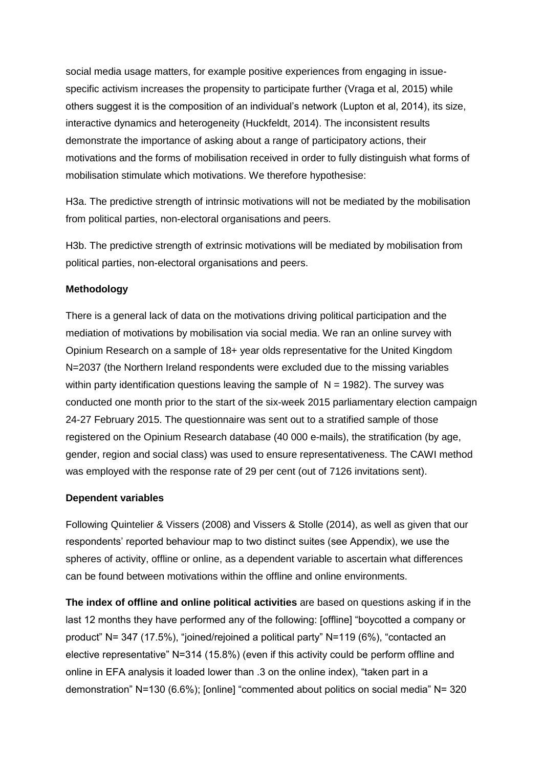social media usage matters, for example positive experiences from engaging in issuespecific activism increases the propensity to participate further (Vraga et al, 2015) while others suggest it is the composition of an individual's network (Lupton et al, 2014), its size, interactive dynamics and heterogeneity (Huckfeldt, 2014). The inconsistent results demonstrate the importance of asking about a range of participatory actions, their motivations and the forms of mobilisation received in order to fully distinguish what forms of mobilisation stimulate which motivations. We therefore hypothesise:

H3a. The predictive strength of intrinsic motivations will not be mediated by the mobilisation from political parties, non-electoral organisations and peers.

H3b. The predictive strength of extrinsic motivations will be mediated by mobilisation from political parties, non-electoral organisations and peers.

## **Methodology**

There is a general lack of data on the motivations driving political participation and the mediation of motivations by mobilisation via social media. We ran an online survey with Opinium Research on a sample of 18+ year olds representative for the United Kingdom N=2037 (the Northern Ireland respondents were excluded due to the missing variables within party identification questions leaving the sample of  $N = 1982$ ). The survey was conducted one month prior to the start of the six-week 2015 parliamentary election campaign 24-27 February 2015. The questionnaire was sent out to a stratified sample of those registered on the Opinium Research database (40 000 e-mails), the stratification (by age, gender, region and social class) was used to ensure representativeness. The CAWI method was employed with the response rate of 29 per cent (out of 7126 invitations sent).

### **Dependent variables**

Following Quintelier & Vissers (2008) and Vissers & Stolle (2014), as well as given that our respondents' reported behaviour map to two distinct suites (see Appendix), we use the spheres of activity, offline or online, as a dependent variable to ascertain what differences can be found between motivations within the offline and online environments.

**The index of offline and online political activities** are based on questions asking if in the last 12 months they have performed any of the following: [offline] "boycotted a company or product" N= 347 (17.5%), "joined/rejoined a political party" N=119 (6%), "contacted an elective representative" N=314 (15.8%) (even if this activity could be perform offline and online in EFA analysis it loaded lower than .3 on the online index), "taken part in a demonstration" N=130 (6.6%); [online] "commented about politics on social media" N= 320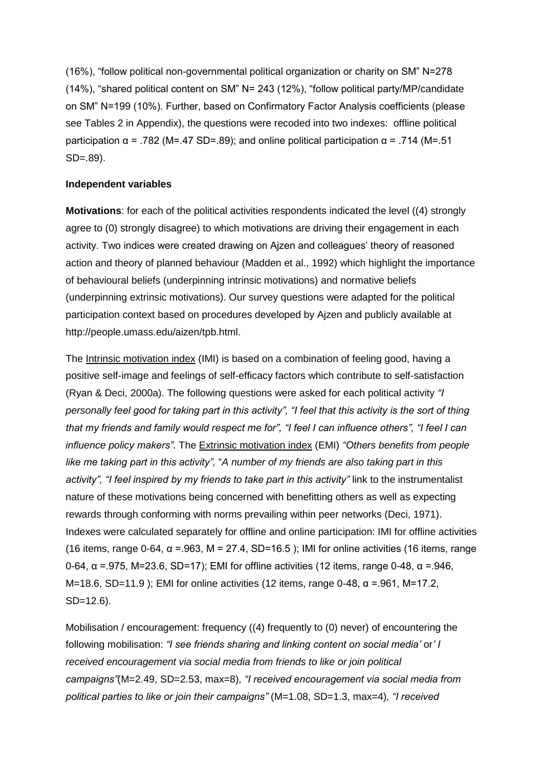(16%), "follow political non-governmental political organization or charity on SM" N=278 (14%), "shared political content on SM" N= 243 (12%), "follow political party/MP/candidate on SM" N=199 (10%). Further, based on Confirmatory Factor Analysis coefficients (please see Tables 2 in Appendix), the questions were recoded into two indexes: offline political participation  $\alpha$  = .782 (M=.47 SD=.89); and online political participation  $\alpha$  = .714 (M=.51 SD=.89).

## **Independent variables**

**Motivations**: for each of the political activities respondents indicated the level ((4) strongly agree to (0) strongly disagree) to which motivations are driving their engagement in each activity. Two indices were created drawing on Ajzen and colleagues' theory of reasoned action and theory of planned behaviour (Madden et al., 1992) which highlight the importance of behavioural beliefs (underpinning intrinsic motivations) and normative beliefs (underpinning extrinsic motivations). Our survey questions were adapted for the political participation context based on procedures developed by Ajzen and publicly available at http://people.umass.edu/aizen/tpb.html.

The Intrinsic motivation index (IMI) is based on a combination of feeling good, having a positive self-image and feelings of self-efficacy factors which contribute to self-satisfaction (Ryan & Deci, 2000a). The following questions were asked for each political activity *"I personally feel good for taking part in this activity", "I feel that this activity is the sort of thing that my friends and family would respect me for", "I feel I can influence others", "I feel I can influence policy makers"*. The Extrinsic motivation index (EMI) *"Others benefits from people like me taking part in this activity",* "*A number of my friends are also taking part in this activity", "I feel inspired by my friends to take part in this activity"* link to the instrumentalist nature of these motivations being concerned with benefitting others as well as expecting rewards through conforming with norms prevailing within peer networks (Deci, 1971). Indexes were calculated separately for offline and online participation: IMI for offline activities (16 items, range 0-64,  $\alpha$  = 963, M = 27.4, SD=16.5); IMI for online activities (16 items, range 0-64,  $\alpha$  =.975, M=23.6, SD=17); EMI for offline activities (12 items, range 0-48,  $\alpha$  =.946,  $M=18.6$ , SD=11.9); EMI for online activities (12 items, range 0-48, α =.961, M=17.2, SD=12.6).

Mobilisation / encouragement: frequency ((4) frequently to (0) never) of encountering the following mobilisation: *"I see friends sharing and linking content on social media'* or*' I received encouragement via social media from friends to like or join political campaigns"*(M=2.49, SD=2.53, max=8)*, "I received encouragement via social media from political parties to like or join their campaigns"* (M=1.08, SD=1.3, max=4)*, "I received*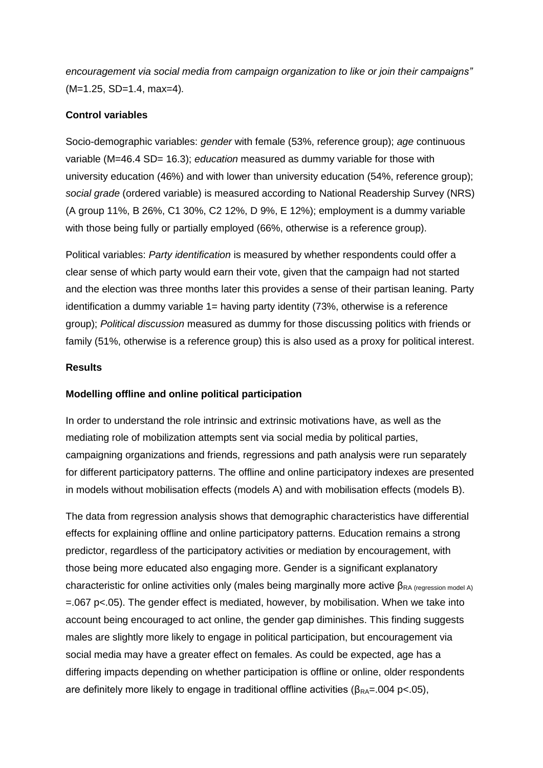*encouragement via social media from campaign organization to like or join their campaigns"* (M=1.25, SD=1.4, max=4)*.*

## **Control variables**

Socio-demographic variables: *gender* with female (53%, reference group); *age* continuous variable (M=46.4 SD= 16.3); *education* measured as dummy variable for those with university education (46%) and with lower than university education (54%, reference group); *social grade* (ordered variable) is measured according to National Readership Survey (NRS) (A group 11%, B 26%, C1 30%, C2 12%, D 9%, E 12%); employment is a dummy variable with those being fully or partially employed (66%, otherwise is a reference group).

Political variables: *Party identification* is measured by whether respondents could offer a clear sense of which party would earn their vote, given that the campaign had not started and the election was three months later this provides a sense of their partisan leaning. Party identification a dummy variable 1= having party identity (73%, otherwise is a reference group); *Political discussion* measured as dummy for those discussing politics with friends or family (51%, otherwise is a reference group) this is also used as a proxy for political interest.

## **Results**

## **Modelling offline and online political participation**

In order to understand the role intrinsic and extrinsic motivations have, as well as the mediating role of mobilization attempts sent via social media by political parties, campaigning organizations and friends, regressions and path analysis were run separately for different participatory patterns. The offline and online participatory indexes are presented in models without mobilisation effects (models A) and with mobilisation effects (models B).

The data from regression analysis shows that demographic characteristics have differential effects for explaining offline and online participatory patterns. Education remains a strong predictor, regardless of the participatory activities or mediation by encouragement, with those being more educated also engaging more. Gender is a significant explanatory characteristic for online activities only (males being marginally more active  $\beta_{RA}$  (regression model A)  $=067$  p<.05). The gender effect is mediated, however, by mobilisation. When we take into account being encouraged to act online, the gender gap diminishes. This finding suggests males are slightly more likely to engage in political participation, but encouragement via social media may have a greater effect on females. As could be expected, age has a differing impacts depending on whether participation is offline or online, older respondents are definitely more likely to engage in traditional offline activities ( $\beta_{RA}$ =.004 p<.05),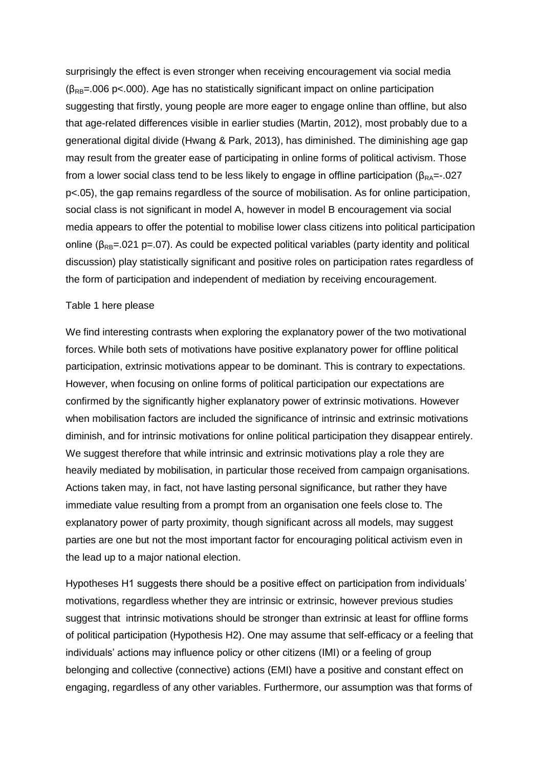surprisingly the effect is even stronger when receiving encouragement via social media  $(\beta_{\text{RB}}=006 \text{ p} < 000)$ . Age has no statistically significant impact on online participation suggesting that firstly, young people are more eager to engage online than offline, but also that age-related differences visible in earlier studies (Martin, 2012), most probably due to a generational digital divide (Hwang & Park, 2013), has diminished. The diminishing age gap may result from the greater ease of participating in online forms of political activism. Those from a lower social class tend to be less likely to engage in offline participation ( $\beta_{RA}$ =-.027 p<.05), the gap remains regardless of the source of mobilisation. As for online participation, social class is not significant in model A, however in model B encouragement via social media appears to offer the potential to mobilise lower class citizens into political participation online ( $\beta_{\text{RR}}$ =.021 p=.07). As could be expected political variables (party identity and political discussion) play statistically significant and positive roles on participation rates regardless of the form of participation and independent of mediation by receiving encouragement.

## Table 1 here please

We find interesting contrasts when exploring the explanatory power of the two motivational forces. While both sets of motivations have positive explanatory power for offline political participation, extrinsic motivations appear to be dominant. This is contrary to expectations. However, when focusing on online forms of political participation our expectations are confirmed by the significantly higher explanatory power of extrinsic motivations. However when mobilisation factors are included the significance of intrinsic and extrinsic motivations diminish, and for intrinsic motivations for online political participation they disappear entirely. We suggest therefore that while intrinsic and extrinsic motivations play a role they are heavily mediated by mobilisation, in particular those received from campaign organisations. Actions taken may, in fact, not have lasting personal significance, but rather they have immediate value resulting from a prompt from an organisation one feels close to. The explanatory power of party proximity, though significant across all models, may suggest parties are one but not the most important factor for encouraging political activism even in the lead up to a major national election.

Hypotheses H1 suggests there should be a positive effect on participation from individuals' motivations, regardless whether they are intrinsic or extrinsic, however previous studies suggest that intrinsic motivations should be stronger than extrinsic at least for offline forms of political participation (Hypothesis H2). One may assume that self-efficacy or a feeling that individuals' actions may influence policy or other citizens (IMI) or a feeling of group belonging and collective (connective) actions (EMI) have a positive and constant effect on engaging, regardless of any other variables. Furthermore, our assumption was that forms of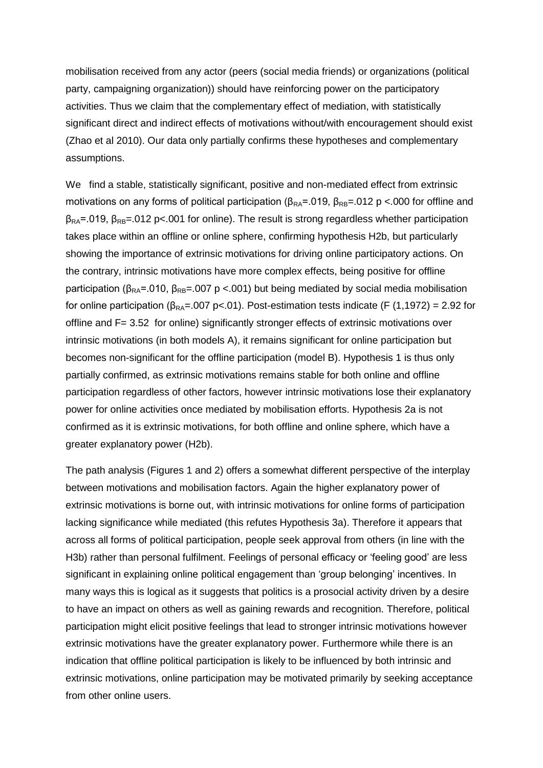mobilisation received from any actor (peers (social media friends) or organizations (political party, campaigning organization)) should have reinforcing power on the participatory activities. Thus we claim that the complementary effect of mediation, with statistically significant direct and indirect effects of motivations without/with encouragement should exist (Zhao et al 2010). Our data only partially confirms these hypotheses and complementary assumptions.

We find a stable, statistically significant, positive and non-mediated effect from extrinsic motivations on any forms of political participation ( $β<sub>RA</sub>=.019$ ,  $β<sub>RB</sub>=.012$  p <.000 for offline and  $\beta_{RA}$ =.019,  $\beta_{RB}$ =.012 p<.001 for online). The result is strong regardless whether participation takes place within an offline or online sphere, confirming hypothesis H2b, but particularly showing the importance of extrinsic motivations for driving online participatory actions. On the contrary, intrinsic motivations have more complex effects, being positive for offline participation ( $β<sub>RA</sub>=.010$ ,  $β<sub>RB</sub>=.007$  p <.001) but being mediated by social media mobilisation for online participation ( $\beta_{RA}$ =.007 p<.01). Post-estimation tests indicate (F (1,1972) = 2.92 for offline and F= 3.52 for online) significantly stronger effects of extrinsic motivations over intrinsic motivations (in both models A), it remains significant for online participation but becomes non-significant for the offline participation (model B). Hypothesis 1 is thus only partially confirmed, as extrinsic motivations remains stable for both online and offline participation regardless of other factors, however intrinsic motivations lose their explanatory power for online activities once mediated by mobilisation efforts. Hypothesis 2a is not confirmed as it is extrinsic motivations, for both offline and online sphere, which have a greater explanatory power (H2b).

The path analysis (Figures 1 and 2) offers a somewhat different perspective of the interplay between motivations and mobilisation factors. Again the higher explanatory power of extrinsic motivations is borne out, with intrinsic motivations for online forms of participation lacking significance while mediated (this refutes Hypothesis 3a). Therefore it appears that across all forms of political participation, people seek approval from others (in line with the H3b) rather than personal fulfilment. Feelings of personal efficacy or 'feeling good' are less significant in explaining online political engagement than 'group belonging' incentives. In many ways this is logical as it suggests that politics is a prosocial activity driven by a desire to have an impact on others as well as gaining rewards and recognition. Therefore, political participation might elicit positive feelings that lead to stronger intrinsic motivations however extrinsic motivations have the greater explanatory power. Furthermore while there is an indication that offline political participation is likely to be influenced by both intrinsic and extrinsic motivations, online participation may be motivated primarily by seeking acceptance from other online users.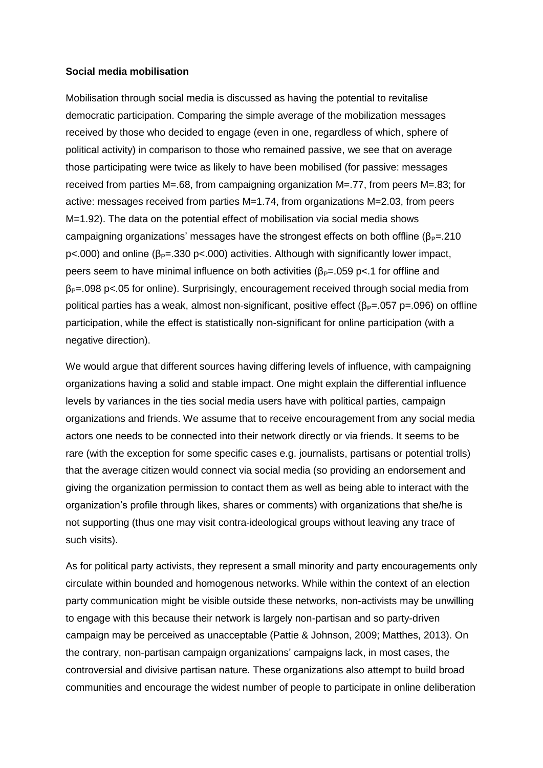#### **Social media mobilisation**

Mobilisation through social media is discussed as having the potential to revitalise democratic participation. Comparing the simple average of the mobilization messages received by those who decided to engage (even in one, regardless of which, sphere of political activity) in comparison to those who remained passive, we see that on average those participating were twice as likely to have been mobilised (for passive: messages received from parties M=.68, from campaigning organization M=.77, from peers M=.83; for active: messages received from parties M=1.74, from organizations M=2.03, from peers M=1.92). The data on the potential effect of mobilisation via social media shows campaigning organizations' messages have the strongest effects on both offline ( $\beta_{P}=210$ ) p<.000) and online ( $β<sub>P</sub>=.330$  p<.000) activities. Although with significantly lower impact, peers seem to have minimal influence on both activities ( $β<sub>P</sub>=.059$  p<.1 for offline and  $\beta_{p}$ =.098 p<.05 for online). Surprisingly, encouragement received through social media from political parties has a weak, almost non-significant, positive effect ( $\beta_P$ =.057 p=.096) on offline participation, while the effect is statistically non-significant for online participation (with a negative direction).

We would argue that different sources having differing levels of influence, with campaigning organizations having a solid and stable impact. One might explain the differential influence levels by variances in the ties social media users have with political parties, campaign organizations and friends. We assume that to receive encouragement from any social media actors one needs to be connected into their network directly or via friends. It seems to be rare (with the exception for some specific cases e.g. journalists, partisans or potential trolls) that the average citizen would connect via social media (so providing an endorsement and giving the organization permission to contact them as well as being able to interact with the organization's profile through likes, shares or comments) with organizations that she/he is not supporting (thus one may visit contra-ideological groups without leaving any trace of such visits).

As for political party activists, they represent a small minority and party encouragements only circulate within bounded and homogenous networks. While within the context of an election party communication might be visible outside these networks, non-activists may be unwilling to engage with this because their network is largely non-partisan and so party-driven campaign may be perceived as unacceptable (Pattie & Johnson, 2009; Matthes, 2013). On the contrary, non-partisan campaign organizations' campaigns lack, in most cases, the controversial and divisive partisan nature. These organizations also attempt to build broad communities and encourage the widest number of people to participate in online deliberation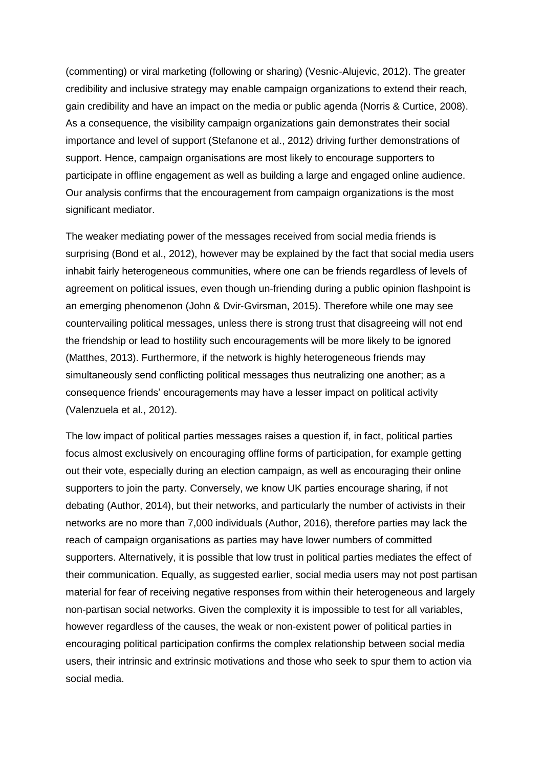(commenting) or viral marketing (following or sharing) (Vesnic-Alujevic, 2012). The greater credibility and inclusive strategy may enable campaign organizations to extend their reach, gain credibility and have an impact on the media or public agenda (Norris & Curtice, 2008). As a consequence, the visibility campaign organizations gain demonstrates their social importance and level of support (Stefanone et al., 2012) driving further demonstrations of support. Hence, campaign organisations are most likely to encourage supporters to participate in offline engagement as well as building a large and engaged online audience. Our analysis confirms that the encouragement from campaign organizations is the most significant mediator.

The weaker mediating power of the messages received from social media friends is surprising (Bond et al., 2012), however may be explained by the fact that social media users inhabit fairly heterogeneous communities, where one can be friends regardless of levels of agreement on political issues, even though un-friending during a public opinion flashpoint is an emerging phenomenon (John & Dvir‐Gvirsman, 2015). Therefore while one may see countervailing political messages, unless there is strong trust that disagreeing will not end the friendship or lead to hostility such encouragements will be more likely to be ignored (Matthes, 2013). Furthermore, if the network is highly heterogeneous friends may simultaneously send conflicting political messages thus neutralizing one another; as a consequence friends' encouragements may have a lesser impact on political activity (Valenzuela et al., 2012).

The low impact of political parties messages raises a question if, in fact, political parties focus almost exclusively on encouraging offline forms of participation, for example getting out their vote, especially during an election campaign, as well as encouraging their online supporters to join the party. Conversely, we know UK parties encourage sharing, if not debating (Author, 2014), but their networks, and particularly the number of activists in their networks are no more than 7,000 individuals (Author, 2016), therefore parties may lack the reach of campaign organisations as parties may have lower numbers of committed supporters. Alternatively, it is possible that low trust in political parties mediates the effect of their communication. Equally, as suggested earlier, social media users may not post partisan material for fear of receiving negative responses from within their heterogeneous and largely non-partisan social networks. Given the complexity it is impossible to test for all variables, however regardless of the causes, the weak or non-existent power of political parties in encouraging political participation confirms the complex relationship between social media users, their intrinsic and extrinsic motivations and those who seek to spur them to action via social media.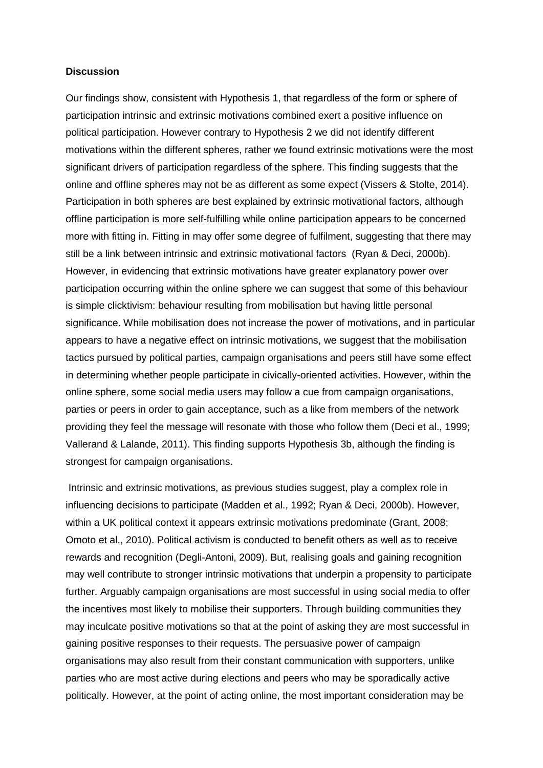#### **Discussion**

Our findings show, consistent with Hypothesis 1, that regardless of the form or sphere of participation intrinsic and extrinsic motivations combined exert a positive influence on political participation. However contrary to Hypothesis 2 we did not identify different motivations within the different spheres, rather we found extrinsic motivations were the most significant drivers of participation regardless of the sphere. This finding suggests that the online and offline spheres may not be as different as some expect (Vissers & Stolte, 2014). Participation in both spheres are best explained by extrinsic motivational factors, although offline participation is more self-fulfilling while online participation appears to be concerned more with fitting in. Fitting in may offer some degree of fulfilment, suggesting that there may still be a link between intrinsic and extrinsic motivational factors (Ryan & Deci, 2000b). However, in evidencing that extrinsic motivations have greater explanatory power over participation occurring within the online sphere we can suggest that some of this behaviour is simple clicktivism: behaviour resulting from mobilisation but having little personal significance. While mobilisation does not increase the power of motivations, and in particular appears to have a negative effect on intrinsic motivations, we suggest that the mobilisation tactics pursued by political parties, campaign organisations and peers still have some effect in determining whether people participate in civically-oriented activities. However, within the online sphere, some social media users may follow a cue from campaign organisations, parties or peers in order to gain acceptance, such as a like from members of the network providing they feel the message will resonate with those who follow them (Deci et al., 1999; Vallerand & Lalande, 2011). This finding supports Hypothesis 3b, although the finding is strongest for campaign organisations.

Intrinsic and extrinsic motivations, as previous studies suggest, play a complex role in influencing decisions to participate (Madden et al., 1992; Ryan & Deci, 2000b). However, within a UK political context it appears extrinsic motivations predominate (Grant, 2008; Omoto et al., 2010). Political activism is conducted to benefit others as well as to receive rewards and recognition (Degli-Antoni, 2009). But, realising goals and gaining recognition may well contribute to stronger intrinsic motivations that underpin a propensity to participate further. Arguably campaign organisations are most successful in using social media to offer the incentives most likely to mobilise their supporters. Through building communities they may inculcate positive motivations so that at the point of asking they are most successful in gaining positive responses to their requests. The persuasive power of campaign organisations may also result from their constant communication with supporters, unlike parties who are most active during elections and peers who may be sporadically active politically. However, at the point of acting online, the most important consideration may be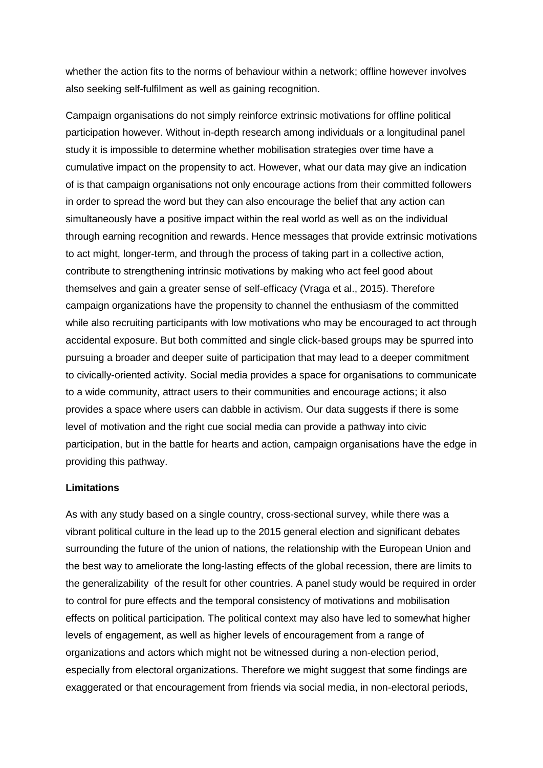whether the action fits to the norms of behaviour within a network; offline however involves also seeking self-fulfilment as well as gaining recognition.

Campaign organisations do not simply reinforce extrinsic motivations for offline political participation however. Without in-depth research among individuals or a longitudinal panel study it is impossible to determine whether mobilisation strategies over time have a cumulative impact on the propensity to act. However, what our data may give an indication of is that campaign organisations not only encourage actions from their committed followers in order to spread the word but they can also encourage the belief that any action can simultaneously have a positive impact within the real world as well as on the individual through earning recognition and rewards. Hence messages that provide extrinsic motivations to act might, longer-term, and through the process of taking part in a collective action, contribute to strengthening intrinsic motivations by making who act feel good about themselves and gain a greater sense of self-efficacy (Vraga et al., 2015). Therefore campaign organizations have the propensity to channel the enthusiasm of the committed while also recruiting participants with low motivations who may be encouraged to act through accidental exposure. But both committed and single click-based groups may be spurred into pursuing a broader and deeper suite of participation that may lead to a deeper commitment to civically-oriented activity. Social media provides a space for organisations to communicate to a wide community, attract users to their communities and encourage actions; it also provides a space where users can dabble in activism. Our data suggests if there is some level of motivation and the right cue social media can provide a pathway into civic participation, but in the battle for hearts and action, campaign organisations have the edge in providing this pathway.

## **Limitations**

As with any study based on a single country, cross-sectional survey, while there was a vibrant political culture in the lead up to the 2015 general election and significant debates surrounding the future of the union of nations, the relationship with the European Union and the best way to ameliorate the long-lasting effects of the global recession, there are limits to the generalizability of the result for other countries. A panel study would be required in order to control for pure effects and the temporal consistency of motivations and mobilisation effects on political participation. The political context may also have led to somewhat higher levels of engagement, as well as higher levels of encouragement from a range of organizations and actors which might not be witnessed during a non-election period, especially from electoral organizations. Therefore we might suggest that some findings are exaggerated or that encouragement from friends via social media, in non-electoral periods,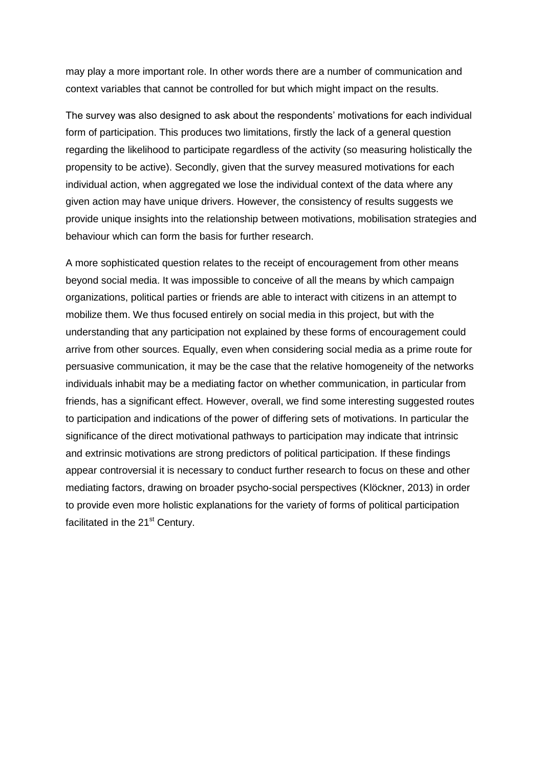may play a more important role. In other words there are a number of communication and context variables that cannot be controlled for but which might impact on the results.

The survey was also designed to ask about the respondents' motivations for each individual form of participation. This produces two limitations, firstly the lack of a general question regarding the likelihood to participate regardless of the activity (so measuring holistically the propensity to be active). Secondly, given that the survey measured motivations for each individual action, when aggregated we lose the individual context of the data where any given action may have unique drivers. However, the consistency of results suggests we provide unique insights into the relationship between motivations, mobilisation strategies and behaviour which can form the basis for further research.

A more sophisticated question relates to the receipt of encouragement from other means beyond social media. It was impossible to conceive of all the means by which campaign organizations, political parties or friends are able to interact with citizens in an attempt to mobilize them. We thus focused entirely on social media in this project, but with the understanding that any participation not explained by these forms of encouragement could arrive from other sources. Equally, even when considering social media as a prime route for persuasive communication, it may be the case that the relative homogeneity of the networks individuals inhabit may be a mediating factor on whether communication, in particular from friends, has a significant effect. However, overall, we find some interesting suggested routes to participation and indications of the power of differing sets of motivations. In particular the significance of the direct motivational pathways to participation may indicate that intrinsic and extrinsic motivations are strong predictors of political participation. If these findings appear controversial it is necessary to conduct further research to focus on these and other mediating factors, drawing on broader psycho-social perspectives (Klöckner, 2013) in order to provide even more holistic explanations for the variety of forms of political participation facilitated in the 21<sup>st</sup> Century.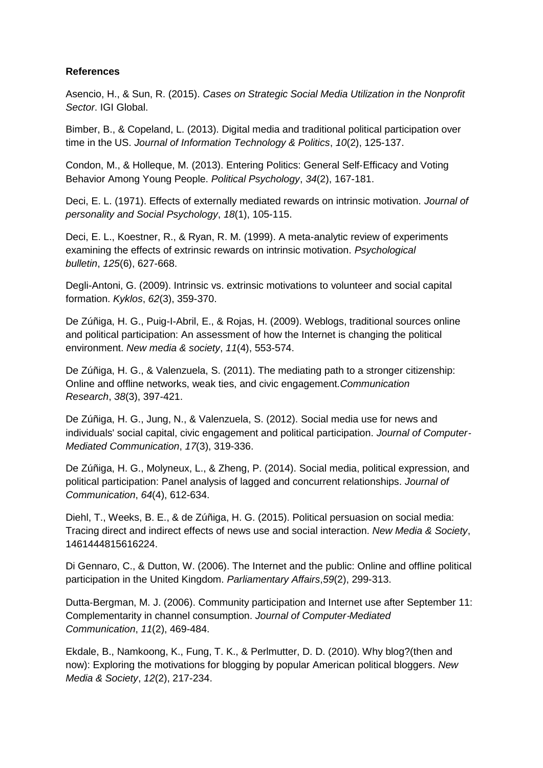## **References**

Asencio, H., & Sun, R. (2015). *Cases on Strategic Social Media Utilization in the Nonprofit Sector*. IGI Global.

Bimber, B., & Copeland, L. (2013). Digital media and traditional political participation over time in the US. *Journal of Information Technology & Politics*, *10*(2), 125-137.

Condon, M., & Holleque, M. (2013). Entering Politics: General Self‐Efficacy and Voting Behavior Among Young People. *Political Psychology*, *34*(2), 167-181.

Deci, E. L. (1971). Effects of externally mediated rewards on intrinsic motivation. *Journal of personality and Social Psychology*, *18*(1), 105-115.

Deci, E. L., Koestner, R., & Ryan, R. M. (1999). A meta-analytic review of experiments examining the effects of extrinsic rewards on intrinsic motivation. *Psychological bulletin*, *125*(6), 627-668.

Degli-Antoni, G. (2009). Intrinsic vs. extrinsic motivations to volunteer and social capital formation. *Kyklos*, *62*(3), 359-370.

De Zúñiga, H. G., Puig-I-Abril, E., & Rojas, H. (2009). Weblogs, traditional sources online and political participation: An assessment of how the Internet is changing the political environment. *New media & society*, *11*(4), 553-574.

De Zúñiga, H. G., & Valenzuela, S. (2011). The mediating path to a stronger citizenship: Online and offline networks, weak ties, and civic engagement.*Communication Research*, *38*(3), 397-421.

De Zúñiga, H. G., Jung, N., & Valenzuela, S. (2012). Social media use for news and individuals' social capital, civic engagement and political participation. *Journal of Computer*‐ *Mediated Communication*, *17*(3), 319-336.

De Zúñiga, H. G., Molyneux, L., & Zheng, P. (2014). Social media, political expression, and political participation: Panel analysis of lagged and concurrent relationships. *Journal of Communication*, *64*(4), 612-634.

Diehl, T., Weeks, B. E., & de Zúñiga, H. G. (2015). Political persuasion on social media: Tracing direct and indirect effects of news use and social interaction. *New Media & Society*, 1461444815616224.

Di Gennaro, C., & Dutton, W. (2006). The Internet and the public: Online and offline political participation in the United Kingdom. *Parliamentary Affairs*,*59*(2), 299-313.

Dutta‐Bergman, M. J. (2006). Community participation and Internet use after September 11: Complementarity in channel consumption. *Journal of Computer*‐*Mediated Communication*, *11*(2), 469-484.

Ekdale, B., Namkoong, K., Fung, T. K., & Perlmutter, D. D. (2010). Why blog?(then and now): Exploring the motivations for blogging by popular American political bloggers. *New Media & Society*, *12*(2), 217-234.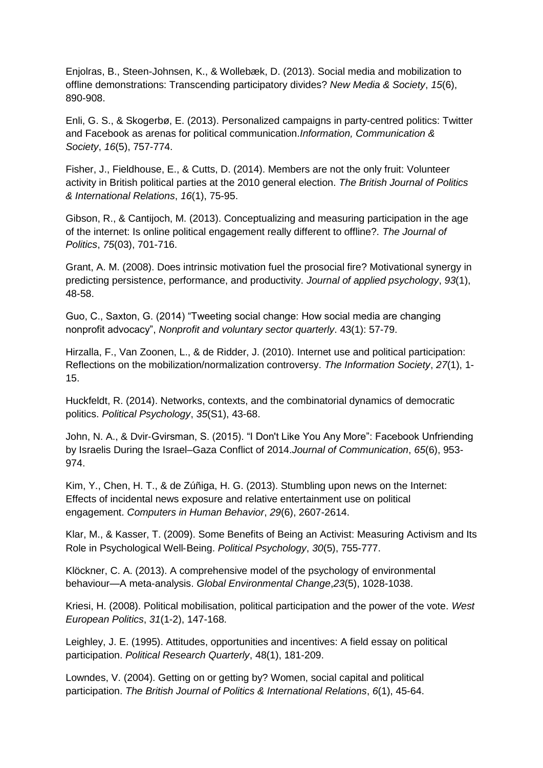Enjolras, B., Steen-Johnsen, K., & Wollebæk, D. (2013). Social media and mobilization to offline demonstrations: Transcending participatory divides? *New Media & Society*, *15*(6), 890-908.

Enli, G. S., & Skogerbø, E. (2013). Personalized campaigns in party-centred politics: Twitter and Facebook as arenas for political communication.*Information, Communication & Society*, *16*(5), 757-774.

Fisher, J., Fieldhouse, E., & Cutts, D. (2014). Members are not the only fruit: Volunteer activity in British political parties at the 2010 general election. *The British Journal of Politics & International Relations*, *16*(1), 75-95.

Gibson, R., & Cantijoch, M. (2013). Conceptualizing and measuring participation in the age of the internet: Is online political engagement really different to offline?. *The Journal of Politics*, *75*(03), 701-716.

Grant, A. M. (2008). Does intrinsic motivation fuel the prosocial fire? Motivational synergy in predicting persistence, performance, and productivity. *Journal of applied psychology*, *93*(1), 48-58.

Guo, C., Saxton, G. (2014) "Tweeting social change: How social media are changing nonprofit advocacy", *Nonprofit and voluntary sector quarterly*. 43(1): 57-79.

Hirzalla, F., Van Zoonen, L., & de Ridder, J. (2010). Internet use and political participation: Reflections on the mobilization/normalization controversy. *The Information Society*, *27*(1), 1- 15.

Huckfeldt, R. (2014). Networks, contexts, and the combinatorial dynamics of democratic politics. *Political Psychology*, *35*(S1), 43-68.

John, N. A., & Dvir‐Gvirsman, S. (2015). "I Don't Like You Any More": Facebook Unfriending by Israelis During the Israel–Gaza Conflict of 2014.*Journal of Communication*, *65*(6), 953- 974.

Kim, Y., Chen, H. T., & de Zúñiga, H. G. (2013). Stumbling upon news on the Internet: Effects of incidental news exposure and relative entertainment use on political engagement. *Computers in Human Behavior*, *29*(6), 2607-2614.

Klar, M., & Kasser, T. (2009). Some Benefits of Being an Activist: Measuring Activism and Its Role in Psychological Well‐Being. *Political Psychology*, *30*(5), 755-777.

Klöckner, C. A. (2013). A comprehensive model of the psychology of environmental behaviour—A meta-analysis. *Global Environmental Change*,*23*(5), 1028-1038.

Kriesi, H. (2008). Political mobilisation, political participation and the power of the vote. *West European Politics*, *31*(1-2), 147-168.

Leighley, J. E. (1995). Attitudes, opportunities and incentives: A field essay on political participation. *Political Research Quarterly*, 48(1), 181-209.

Lowndes, V. (2004). Getting on or getting by? Women, social capital and political participation. *The British Journal of Politics & International Relations*, *6*(1), 45-64.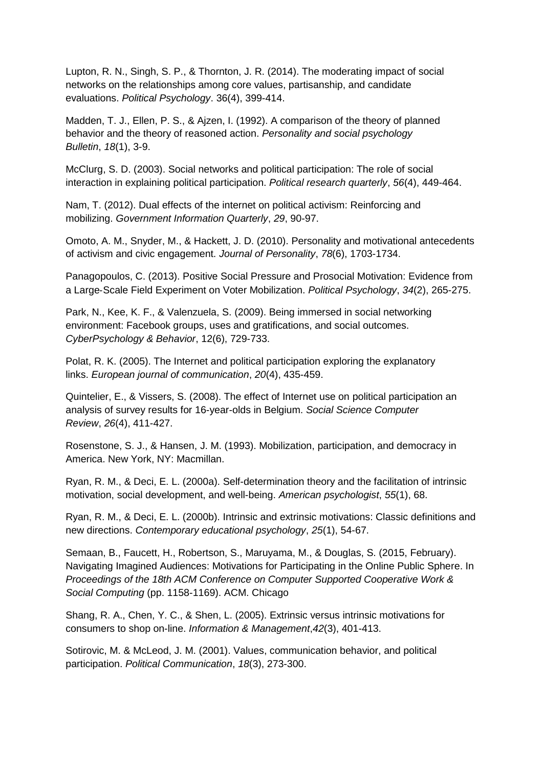Lupton, R. N., Singh, S. P., & Thornton, J. R. (2014). The moderating impact of social networks on the relationships among core values, partisanship, and candidate evaluations. *Political Psychology*. 36(4), 399-414.

Madden, T. J., Ellen, P. S., & Ajzen, I. (1992). A comparison of the theory of planned behavior and the theory of reasoned action. *Personality and social psychology Bulletin*, *18*(1), 3-9.

McClurg, S. D. (2003). Social networks and political participation: The role of social interaction in explaining political participation. *Political research quarterly*, *56*(4), 449-464.

Nam, T. (2012). Dual effects of the internet on political activism: Reinforcing and mobilizing. *Government Information Quarterly*, *29*, 90-97.

Omoto, A. M., Snyder, M., & Hackett, J. D. (2010). Personality and motivational antecedents of activism and civic engagement. *Journal of Personality*, *78*(6), 1703-1734.

Panagopoulos, C. (2013). Positive Social Pressure and Prosocial Motivation: Evidence from a Large‐Scale Field Experiment on Voter Mobilization. *Political Psychology*, *34*(2), 265-275.

Park, N., Kee, K. F., & Valenzuela, S. (2009). Being immersed in social networking environment: Facebook groups, uses and gratifications, and social outcomes. *CyberPsychology & Behavior*, 12(6), 729-733.

Polat, R. K. (2005). The Internet and political participation exploring the explanatory links. *European journal of communication*, *20*(4), 435-459.

Quintelier, E., & Vissers, S. (2008). The effect of Internet use on political participation an analysis of survey results for 16-year-olds in Belgium. *Social Science Computer Review*, *26*(4), 411-427.

Rosenstone, S. J., & Hansen, J. M. (1993). Mobilization, participation, and democracy in America. New York, NY: Macmillan.

Ryan, R. M., & Deci, E. L. (2000a). Self-determination theory and the facilitation of intrinsic motivation, social development, and well-being. *American psychologist*, *55*(1), 68.

Ryan, R. M., & Deci, E. L. (2000b). Intrinsic and extrinsic motivations: Classic definitions and new directions. *Contemporary educational psychology*, *25*(1), 54-67.

Semaan, B., Faucett, H., Robertson, S., Maruyama, M., & Douglas, S. (2015, February). Navigating Imagined Audiences: Motivations for Participating in the Online Public Sphere. In *Proceedings of the 18th ACM Conference on Computer Supported Cooperative Work & Social Computing* (pp. 1158-1169). ACM. Chicago

Shang, R. A., Chen, Y. C., & Shen, L. (2005). Extrinsic versus intrinsic motivations for consumers to shop on-line. *Information & Management*,*42*(3), 401-413.

Sotirovic, M. & McLeod, J. M. (2001). Values, communication behavior, and political participation. *Political Communication*, *18*(3), 273-300.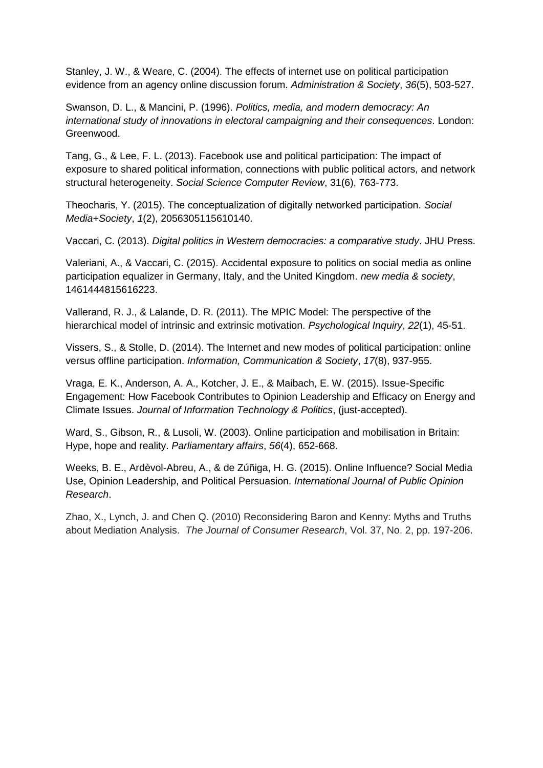Stanley, J. W., & Weare, C. (2004). The effects of internet use on political participation evidence from an agency online discussion forum. *Administration & Society*, *36*(5), 503-527.

Swanson, D. L., & Mancini, P. (1996). *Politics, media, and modern democracy: An international study of innovations in electoral campaigning and their consequences*. London: Greenwood.

Tang, G., & Lee, F. L. (2013). Facebook use and political participation: The impact of exposure to shared political information, connections with public political actors, and network structural heterogeneity. *Social Science Computer Review*, 31(6), 763-773.

Theocharis, Y. (2015). The conceptualization of digitally networked participation. *Social Media+Society*, *1*(2), 2056305115610140.

Vaccari, C. (2013). *Digital politics in Western democracies: a comparative study*. JHU Press.

Valeriani, A., & Vaccari, C. (2015). Accidental exposure to politics on social media as online participation equalizer in Germany, Italy, and the United Kingdom. *new media & society*, 1461444815616223.

Vallerand, R. J., & Lalande, D. R. (2011). The MPIC Model: The perspective of the hierarchical model of intrinsic and extrinsic motivation. *Psychological Inquiry*, *22*(1), 45-51.

Vissers, S., & Stolle, D. (2014). The Internet and new modes of political participation: online versus offline participation. *Information, Communication & Society*, *17*(8), 937-955.

Vraga, E. K., Anderson, A. A., Kotcher, J. E., & Maibach, E. W. (2015). Issue-Specific Engagement: How Facebook Contributes to Opinion Leadership and Efficacy on Energy and Climate Issues. *Journal of Information Technology & Politics*, (just-accepted).

Ward, S., Gibson, R., & Lusoli, W. (2003). Online participation and mobilisation in Britain: Hype, hope and reality. *Parliamentary affairs*, *56*(4), 652-668.

Weeks, B. E., Ardèvol-Abreu, A., & de Zúñiga, H. G. (2015). Online Influence? Social Media Use, Opinion Leadership, and Political Persuasion. *International Journal of Public Opinion Research*.

Zhao, X., Lynch, J. and Chen Q. (2010) Reconsidering Baron and Kenny: Myths and Truths about Mediation Analysis. *The Journal of Consumer Research*, Vol. 37, No. 2, pp. 197-206.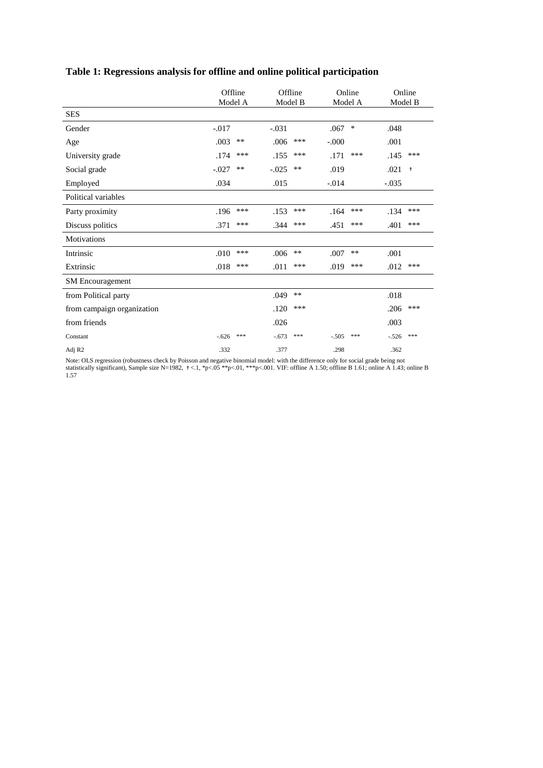|                            | Offline<br>Model A |       | Offline<br>Model B |       | Online<br>Model A |       | Online<br>Model B |            |
|----------------------------|--------------------|-------|--------------------|-------|-------------------|-------|-------------------|------------|
| <b>SES</b>                 |                    |       |                    |       |                   |       |                   |            |
| Gender                     | $-.017$            |       | $-.031$            |       | .067              | ∗     | .048              |            |
| Age                        | .003               | $***$ | .006               | ***   | $-.000$           |       | .001              |            |
| University grade           | .174               | ***   | .155               | ***   | .171              | ***   | .145              | ***        |
| Social grade               | $-.027$            | $***$ | $-0.025$           | $***$ | .019              |       | .021              | $\ddagger$ |
| Employed                   | .034               |       | .015               |       | $-.014$           |       | $-.035$           |            |
| Political variables        |                    |       |                    |       |                   |       |                   |            |
| Party proximity            | .196               | ***   | .153               | ***   | .164              | ***   | .134              | ***        |
| Discuss politics           | .371               | ***   | .344               | ***   | .451              | ***   | .401              | ***        |
| <b>Motivations</b>         |                    |       |                    |       |                   |       |                   |            |
| Intrinsic                  | .010               | ***   | .006               | $***$ | .007              | $***$ | .001              |            |
| Extrinsic                  | .018               | ***   | .011               | ***   | .019              | ***   | .012              | ***        |
| <b>SM</b> Encouragement    |                    |       |                    |       |                   |       |                   |            |
| from Political party       |                    |       | .049               | $**$  |                   |       | .018              |            |
| from campaign organization |                    |       | .120               | ***   |                   |       | .206              | ***        |
| from friends               |                    |       | .026               |       |                   |       | .003              |            |
| Constant                   | $-.626$            | ***   | $-.673$            | ***   | $-.505$           | ***   | $-.526$           | ***        |
| Adj R <sub>2</sub>         | .332               |       | .377               |       | .298              |       | .362              |            |

# **Table 1: Regressions analysis for offline and online political participation**

Note: OLS regression (robustness check by Poisson and negative binomial model: with the difference only for social grade being not statistically significant), Sample size N=1982,  $\pm$ <.1, \*p<.05 \*\*p<.01, \*\*\*p<.001. VIF: offline A 1.50; offline B 1.61; online A 1.43; online B 1.57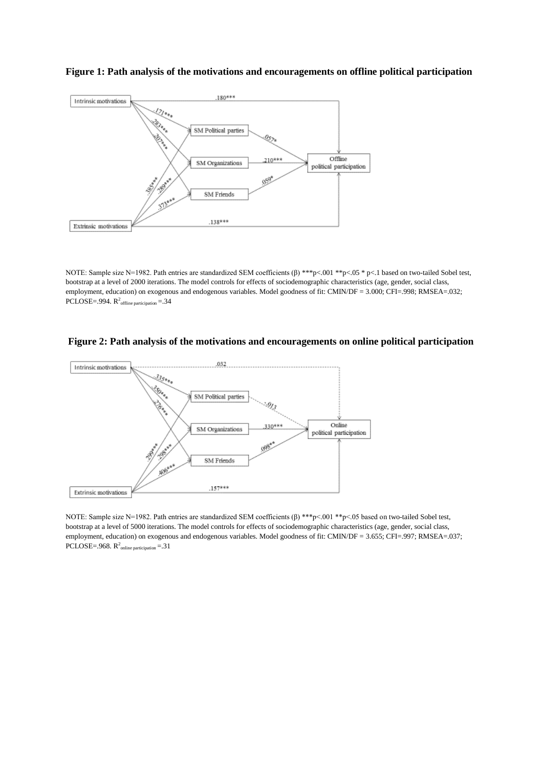

#### **Figure 1: Path analysis of the motivations and encouragements on offline political participation**

NOTE: Sample size N=1982. Path entries are standardized SEM coefficients (β) \*\*\*p<.001 \*\*p<.05 \* p<.1 based on two-tailed Sobel test, bootstrap at a level of 2000 iterations. The model controls for effects of sociodemographic characteristics (age, gender, social class, employment, education) on exogenous and endogenous variables. Model goodness of fit: CMIN/DF = 3.000; CFI=.998; RMSEA=.032; PCLOSE=.994.  $R^2$ <sub>offline participation</sub>=.34





NOTE: Sample size N=1982. Path entries are standardized SEM coefficients (β) \*\*\*p<.001 \*\*p<.05 based on two-tailed Sobel test, bootstrap at a level of 5000 iterations. The model controls for effects of sociodemographic characteristics (age, gender, social class, employment, education) on exogenous and endogenous variables. Model goodness of fit: CMIN/DF = 3.655; CFI=.997; RMSEA=.037; PCLOSE=.968.  $R^2$ <sub>online participation</sub> = .31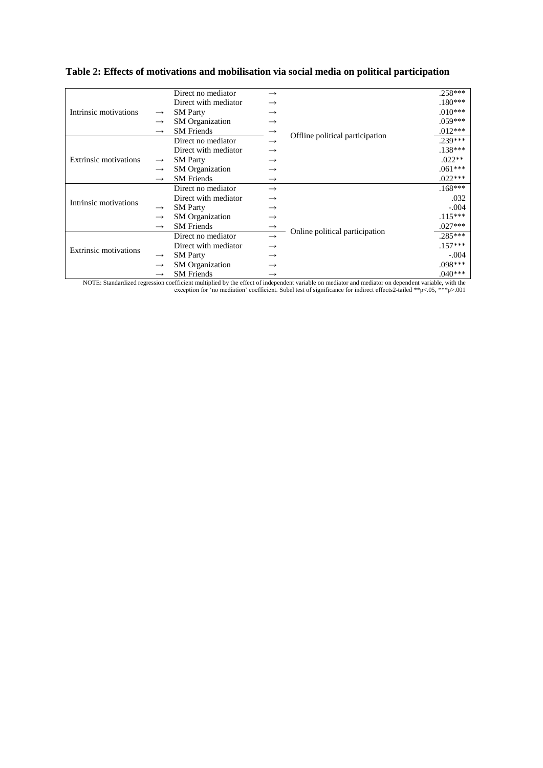|                              |               | Direct no mediator     | $\rightarrow$     |                                 | $.258***$ |
|------------------------------|---------------|------------------------|-------------------|---------------------------------|-----------|
|                              |               | Direct with mediator   | $\rightarrow$     |                                 | $.180***$ |
| Intrinsic motivations        | $\rightarrow$ | <b>SM Party</b>        | $\rightarrow$     |                                 | $.010***$ |
|                              | $\rightarrow$ | <b>SM</b> Organization | $\rightarrow$     |                                 | $.059***$ |
|                              | $\rightarrow$ | <b>SM</b> Friends      | $\rightarrow$     |                                 | $.012***$ |
| <b>Extrinsic motivations</b> |               | Direct no mediator     | $\rightarrow$     | Offline political participation | 239***    |
|                              |               | Direct with mediator   | $\rightarrow$     |                                 | $.138***$ |
|                              | $\rightarrow$ | <b>SM Party</b>        | $\rightarrow$     |                                 | $.022**$  |
|                              | $\rightarrow$ | <b>SM</b> Organization | $\rightarrow$     |                                 | $.061***$ |
|                              | $\rightarrow$ | <b>SM</b> Friends      | $\rightarrow$     |                                 | $.022***$ |
| Intrinsic motivations        |               | Direct no mediator     | $\rightarrow$     |                                 | $.168***$ |
|                              |               | Direct with mediator   | $\rightarrow$     |                                 | .032      |
|                              | $\rightarrow$ | <b>SM Party</b>        | $\rightarrow$     |                                 | $-.004$   |
|                              | $\rightarrow$ | <b>SM</b> Organization | $\longrightarrow$ |                                 | $.115***$ |
|                              | $\rightarrow$ | <b>SM</b> Friends      | $\rightarrow$     |                                 | $.027***$ |
| <b>Extrinsic motivations</b> |               | Direct no mediator     | $\rightarrow$     | Online political participation  | $.285***$ |
|                              |               | Direct with mediator   | $\rightarrow$     |                                 | $.157***$ |
|                              | $\rightarrow$ | <b>SM Party</b>        | $\rightarrow$     |                                 | $-.004$   |
|                              | $\rightarrow$ | <b>SM</b> Organization | $\rightarrow$     |                                 | $.098***$ |
|                              | $\rightarrow$ | <b>SM</b> Friends      | $\rightarrow$     |                                 | $.040***$ |

# **Table 2: Effects of motivations and mobilisation via social media on political participation**

NOTE: Standardized regression coefficient multiplied by the effect of independent variable on mediator and mediator on dependent variable, with the exception for 'no mediation' coefficient. Sobel test of significance for indirect effects2-tailed \*\*p<.05, \*\*\*p>.001